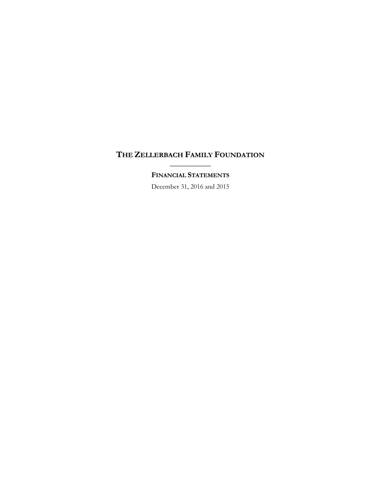# **THE ZELLERBACH FAMILY FOUNDATION** \_\_\_\_\_\_\_\_\_\_\_\_

# **FINANCIAL STATEMENTS**

December 31, 2016 and 2015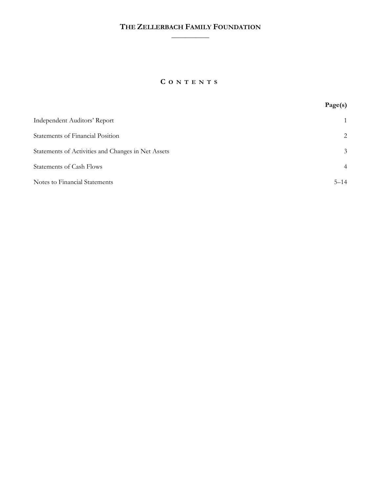# **THE ZELLERBACH FAMILY FOUNDATION**  $\overline{\phantom{a}}$  , where  $\overline{\phantom{a}}$

**C ONTENTS**

|                                                    | Page(s)        |
|----------------------------------------------------|----------------|
| <b>Independent Auditors' Report</b>                | $\mathbf{1}$   |
| <b>Statements of Financial Position</b>            | 2              |
| Statements of Activities and Changes in Net Assets | 3              |
| <b>Statements of Cash Flows</b>                    | $\overline{4}$ |
| Notes to Financial Statements                      | $5 - 14$       |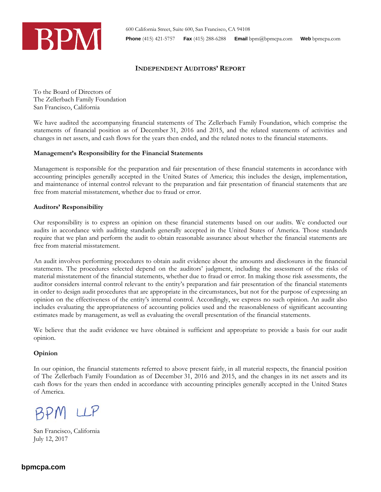

# **INDEPENDENT AUDITORS' REPORT**

To the Board of Directors of The Zellerbach Family Foundation San Francisco, California

We have audited the accompanying financial statements of The Zellerbach Family Foundation, which comprise the statements of financial position as of December 31, 2016 and 2015, and the related statements of activities and changes in net assets, and cash flows for the years then ended, and the related notes to the financial statements.

## **Management's Responsibility for the Financial Statements**

Management is responsible for the preparation and fair presentation of these financial statements in accordance with accounting principles generally accepted in the United States of America; this includes the design, implementation, and maintenance of internal control relevant to the preparation and fair presentation of financial statements that are free from material misstatement, whether due to fraud or error.

# **Auditors' Responsibility**

Our responsibility is to express an opinion on these financial statements based on our audits. We conducted our audits in accordance with auditing standards generally accepted in the United States of America. Those standards require that we plan and perform the audit to obtain reasonable assurance about whether the financial statements are free from material misstatement.

An audit involves performing procedures to obtain audit evidence about the amounts and disclosures in the financial statements. The procedures selected depend on the auditors' judgment, including the assessment of the risks of material misstatement of the financial statements, whether due to fraud or error. In making those risk assessments, the auditor considers internal control relevant to the entity's preparation and fair presentation of the financial statements in order to design audit procedures that are appropriate in the circumstances, but not for the purpose of expressing an opinion on the effectiveness of the entity's internal control. Accordingly, we express no such opinion. An audit also includes evaluating the appropriateness of accounting policies used and the reasonableness of significant accounting estimates made by management, as well as evaluating the overall presentation of the financial statements.

We believe that the audit evidence we have obtained is sufficient and appropriate to provide a basis for our audit opinion.

# **Opinion**

In our opinion, the financial statements referred to above present fairly, in all material respects, the financial position of The Zellerbach Family Foundation as of December 31, 2016 and 2015, and the changes in its net assets and its cash flows for the years then ended in accordance with accounting principles generally accepted in the United States of America.

BPM LLP

San Francisco, California July 12, 2017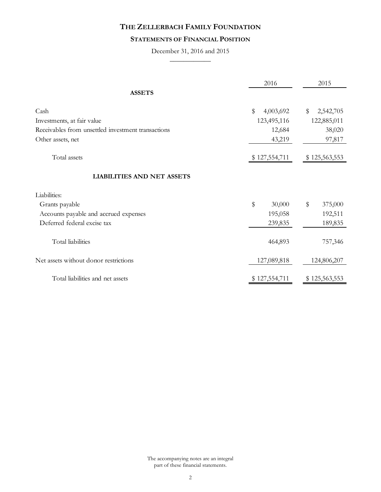# **STATEMENTS OF FINANCIAL POSITION**

December 31, 2016 and 2015  $\frac{1}{2}$ 

|                                                    | 2016            | 2015            |
|----------------------------------------------------|-----------------|-----------------|
| <b>ASSETS</b>                                      |                 |                 |
| Cash                                               | \$<br>4,003,692 | 2,542,705<br>\$ |
| Investments, at fair value                         | 123,495,116     | 122,885,011     |
| Receivables from unsettled investment transactions | 12,684          | 38,020          |
| Other assets, net                                  | 43,219          | 97,817          |
| Total assets                                       | \$127,554,711   | \$125,563,553   |
| <b>LIABILITIES AND NET ASSETS</b>                  |                 |                 |
| Liabilities:                                       |                 |                 |
| Grants payable                                     | \$<br>30,000    | \$<br>375,000   |
| Accounts payable and accrued expenses              | 195,058         | 192,511         |
| Deferred federal excise tax                        | 239,835         | 189,835         |
| Total liabilities                                  | 464,893         | 757,346         |
| Net assets without donor restrictions              | 127,089,818     | 124,806,207     |
| Total liabilities and net assets                   | \$127,554,711   | \$125,563,553   |

The accompanying notes are an integral part of these financial statements.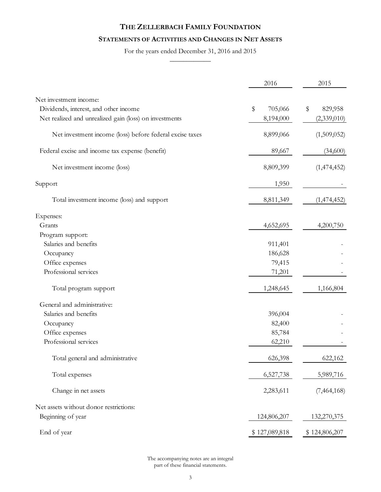# **STATEMENTS OF ACTIVITIES AND CHANGES IN NET ASSETS**

For the years ended December 31, 2016 and 2015  $\overline{\phantom{a}}$ 

|                                                          | 2016          | 2015          |
|----------------------------------------------------------|---------------|---------------|
| Net investment income:                                   |               |               |
| Dividends, interest, and other income                    | \$<br>705,066 | \$<br>829,958 |
| Net realized and unrealized gain (loss) on investments   | 8,194,000     | (2,339,010)   |
| Net investment income (loss) before federal excise taxes | 8,899,066     | (1,509,052)   |
| Federal excise and income tax expense (benefit)          | 89,667        | (34,600)      |
| Net investment income (loss)                             | 8,809,399     | (1,474,452)   |
| Support                                                  | 1,950         |               |
| Total investment income (loss) and support               | 8,811,349     | (1,474,452)   |
| Expenses:                                                |               |               |
| Grants                                                   | 4,652,695     | 4,200,750     |
| Program support:                                         |               |               |
| Salaries and benefits                                    | 911,401       |               |
| Occupancy                                                | 186,628       |               |
| Office expenses                                          | 79,415        |               |
| Professional services                                    | 71,201        |               |
| Total program support                                    | 1,248,645     | 1,166,804     |
| General and administrative:                              |               |               |
| Salaries and benefits                                    | 396,004       |               |
| Occupancy                                                | 82,400        |               |
| Office expenses                                          | 85,784        |               |
| Professional services                                    | 62,210        |               |
| Total general and administrative                         | 626,398       | 622,162       |
| Total expenses                                           | 6,527,738     | 5,989,716     |
| Change in net assets                                     | 2,283,611     | (7,464,168)   |
| Net assets without donor restrictions:                   |               |               |
| Beginning of year                                        | 124,806,207   | 132,270,375   |
| End of year                                              | \$127,089,818 | \$124,806,207 |

The accompanying notes are an integral part of these financial statements.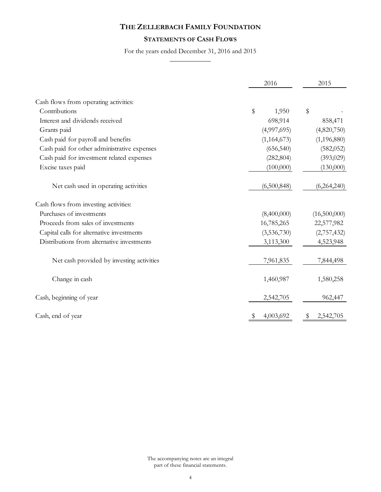# **STATEMENTS OF CASH FLOWS**

For the years ended December 31, 2016 and 2015  $\overline{\phantom{a}}$ 

|                                             | 2016        | 2015          |
|---------------------------------------------|-------------|---------------|
| Cash flows from operating activities:       |             |               |
| Contributions                               | \$<br>1,950 | \$            |
| Interest and dividends received             | 698,914     | 858,471       |
| Grants paid                                 | (4,997,695) | (4,820,750)   |
| Cash paid for payroll and benefits          | (1,164,673) | (1, 196, 880) |
| Cash paid for other administrative expenses | (656, 540)  | (582, 052)    |
| Cash paid for investment related expenses   | (282, 804)  | (393, 029)    |
| Excise taxes paid                           | (100,000)   | (130,000)     |
| Net cash used in operating activities       | (6,500,848) | (6,264,240)   |
| Cash flows from investing activities:       |             |               |
| Purchases of investments                    | (8,400,000) | (16,500,000)  |
| Proceeds from sales of investments          | 16,785,265  | 22,577,982    |
| Capital calls for alternative investments   | (3,536,730) | (2,757,432)   |
| Distributions from alternative investments  | 3,113,300   | 4,523,948     |
| Net cash provided by investing activities   | 7,961,835   | 7,844,498     |
| Change in cash                              | 1,460,987   | 1,580,258     |
| Cash, beginning of year                     | 2,542,705   | 962,447       |
| Cash, end of year                           | 4,003,692   | 2,542,705     |

The accompanying notes are an integral part of these financial statements.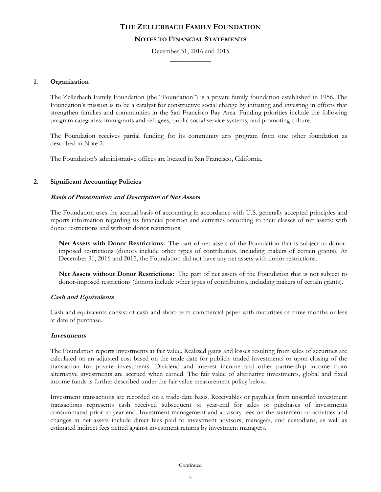## **NOTES TO FINANCIAL STATEMENTS**

December 31, 2016 and 2015  $\frac{1}{2}$ 

### **1. Organization**

The Zellerbach Family Foundation (the "Foundation") is a private family foundation established in 1956. The Foundation's mission is to be a catalyst for constructive social change by initiating and investing in efforts that strengthen families and communities in the San Francisco Bay Area. Funding priorities include the following program categories: immigrants and refugees, public social service systems, and promoting culture.

The Foundation receives partial funding for its community arts program from one other foundation as described in Note 2.

The Foundation's administrative offices are located in San Francisco, California.

### **2. Significant Accounting Policies**

### **Basis of Presentation and Description of Net Assets**

The Foundation uses the accrual basis of accounting in accordance with U.S. generally accepted principles and reports information regarding its financial position and activities according to their classes of net assets: with donor restrictions and without donor restrictions.

**Net Assets with Donor Restrictions:** The part of net assets of the Foundation that is subject to donorimposed restrictions (donors include other types of contributors, including makers of certain grants). At December 31, 2016 and 2015, the Foundation did not have any net assets with donor restrictions.

**Net Assets without Donor Restrictions:** The part of net assets of the Foundation that is not subject to donor-imposed restrictions (donors include other types of contributors, including makers of certain grants).

#### **Cash and Equivalents**

Cash and equivalents consist of cash and short-term commercial paper with maturities of three months or less at date of purchase.

#### **Investments**

The Foundation reports investments at fair value. Realized gains and losses resulting from sales of securities are calculated on an adjusted cost based on the trade date for publicly traded investments or upon closing of the transaction for private investments. Dividend and interest income and other partnership income from alternative investments are accrued when earned. The fair value of alternative investments, global and fixed income funds is further described under the fair value measurement policy below.

Investment transactions are recorded on a trade-date basis. Receivables or payables from unsettled investment transactions represents cash received subsequent to year-end for sales or purchases of investments consummated prior to year-end. Investment management and advisory fees on the statement of activities and changes in net assets include direct fees paid to investment advisors, managers, and custodians, as well as estimated indirect fees netted against investment returns by investment managers.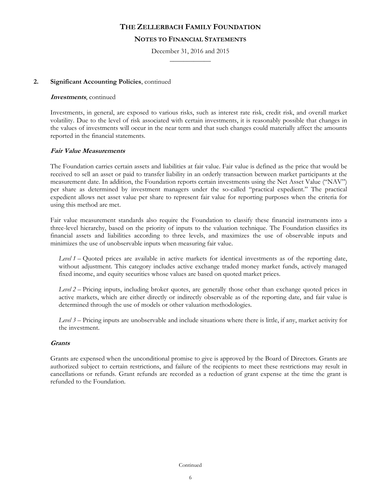### **NOTES TO FINANCIAL STATEMENTS**

December 31, 2016 and 2015  $\frac{1}{2}$ 

### **2. Significant Accounting Policies**, continued

#### **Investments**, continued

Investments, in general, are exposed to various risks, such as interest rate risk, credit risk, and overall market volatility. Due to the level of risk associated with certain investments, it is reasonably possible that changes in the values of investments will occur in the near term and that such changes could materially affect the amounts reported in the financial statements.

#### **Fair Value Measurements**

The Foundation carries certain assets and liabilities at fair value. Fair value is defined as the price that would be received to sell an asset or paid to transfer liability in an orderly transaction between market participants at the measurement date. In addition, the Foundation reports certain investments using the Net Asset Value ("NAV") per share as determined by investment managers under the so-called "practical expedient." The practical expedient allows net asset value per share to represent fair value for reporting purposes when the criteria for using this method are met.

Fair value measurement standards also require the Foundation to classify these financial instruments into a three-level hierarchy, based on the priority of inputs to the valuation technique. The Foundation classifies its financial assets and liabilities according to three levels, and maximizes the use of observable inputs and minimizes the use of unobservable inputs when measuring fair value.

*Level 1* – Quoted prices are available in active markets for identical investments as of the reporting date, without adjustment. This category includes active exchange traded money market funds, actively managed fixed income, and equity securities whose values are based on quoted market prices.

*Level 2* – Pricing inputs, including broker quotes, are generally those other than exchange quoted prices in active markets, which are either directly or indirectly observable as of the reporting date, and fair value is determined through the use of models or other valuation methodologies.

*Level 3* – Pricing inputs are unobservable and include situations where there is little, if any, market activity for the investment.

#### **Grants**

Grants are expensed when the unconditional promise to give is approved by the Board of Directors. Grants are authorized subject to certain restrictions, and failure of the recipients to meet these restrictions may result in cancellations or refunds. Grant refunds are recorded as a reduction of grant expense at the time the grant is refunded to the Foundation.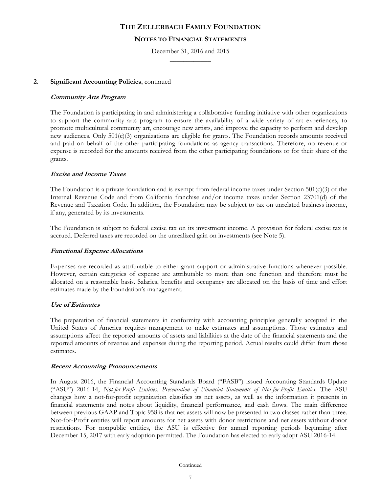## **NOTES TO FINANCIAL STATEMENTS**

December 31, 2016 and 2015  $\frac{1}{2}$ 

### **2. Significant Accounting Policies**, continued

### **Community Arts Program**

The Foundation is participating in and administering a collaborative funding initiative with other organizations to support the community arts program to ensure the availability of a wide variety of art experiences, to promote multicultural community art, encourage new artists, and improve the capacity to perform and develop new audiences. Only 501(c)(3) organizations are eligible for grants. The Foundation records amounts received and paid on behalf of the other participating foundations as agency transactions. Therefore, no revenue or expense is recorded for the amounts received from the other participating foundations or for their share of the grants.

### **Excise and Income Taxes**

The Foundation is a private foundation and is exempt from federal income taxes under Section  $501(c)(3)$  of the Internal Revenue Code and from California franchise and/or income taxes under Section 23701(d) of the Revenue and Taxation Code. In addition, the Foundation may be subject to tax on unrelated business income, if any, generated by its investments.

The Foundation is subject to federal excise tax on its investment income. A provision for federal excise tax is accrued. Deferred taxes are recorded on the unrealized gain on investments (see Note 5).

#### **Functional Expense Allocations**

Expenses are recorded as attributable to either grant support or administrative functions whenever possible. However, certain categories of expense are attributable to more than one function and therefore must be allocated on a reasonable basis. Salaries, benefits and occupancy are allocated on the basis of time and effort estimates made by the Foundation's management.

#### **Use of Estimates**

The preparation of financial statements in conformity with accounting principles generally accepted in the United States of America requires management to make estimates and assumptions. Those estimates and assumptions affect the reported amounts of assets and liabilities at the date of the financial statements and the reported amounts of revenue and expenses during the reporting period. Actual results could differ from those estimates.

#### **Recent Accounting Pronouncements**

In August 2016, the Financial Accounting Standards Board ("FASB") issued Accounting Standards Update ("ASU") 2016-14, *Not-for-Profit Entities: Presentation of Financial Statements of Not-for-Profit Entities*. The ASU changes how a not-for-profit organization classifies its net assets, as well as the information it presents in financial statements and notes about liquidity, financial performance, and cash flows. The main difference between previous GAAP and Topic 958 is that net assets will now be presented in two classes rather than three. Not-for-Profit entities will report amounts for net assets with donor restrictions and net assets without donor restrictions. For nonpublic entities, the ASU is effective for annual reporting periods beginning after December 15, 2017 with early adoption permitted. The Foundation has elected to early adopt ASU 2016-14.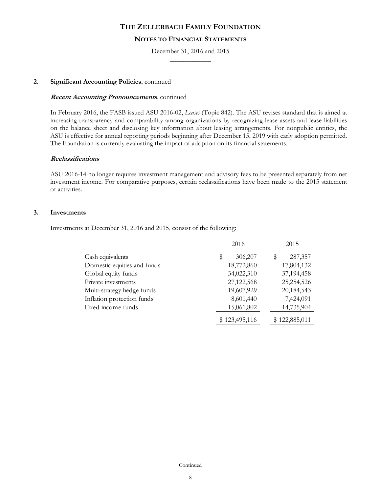# **NOTES TO FINANCIAL STATEMENTS**

December 31, 2016 and 2015  $\frac{1}{2}$ 

### **2. Significant Accounting Policies**, continued

#### **Recent Accounting Pronouncements**, continued

In February 2016, the FASB issued ASU 2016-02, *Leases* (Topic 842). The ASU revises standard that is aimed at increasing transparency and comparability among organizations by recognizing lease assets and lease liabilities on the balance sheet and disclosing key information about leasing arrangements. For nonpublic entities, the ASU is effective for annual reporting periods beginning after December 15, 2019 with early adoption permitted. The Foundation is currently evaluating the impact of adoption on its financial statements.

#### **Reclassifications**

ASU 2016-14 no longer requires investment management and advisory fees to be presented separately from net investment income. For comparative purposes, certain reclassifications have been made to the 2015 statement of activities.

### **3. Investments**

Investments at December 31, 2016 and 2015, consist of the following:

|                             | 2016          | 2015          |
|-----------------------------|---------------|---------------|
| Cash equivalents            | 306,207       | 287,357<br>S  |
| Domestic equities and funds | 18,772,860    | 17,804,132    |
| Global equity funds         | 34,022,310    | 37,194,458    |
| Private investments         | 27,122,568    | 25,254,526    |
| Multi-strategy hedge funds  | 19,607,929    | 20,184,543    |
| Inflation protection funds  | 8,601,440     | 7,424,091     |
| Fixed income funds          | 15,061,802    | 14,735,904    |
|                             | \$123,495,116 | \$122,885,011 |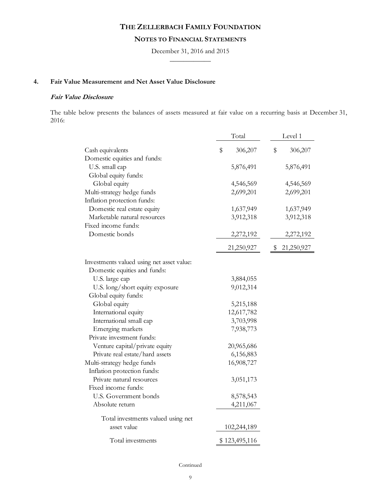# **NOTES TO FINANCIAL STATEMENTS**

December 31, 2016 and 2015  $\frac{1}{2}$ 

## **4. Fair Value Measurement and Net Asset Value Disclosure**

### **Fair Value Disclosure**

The table below presents the balances of assets measured at fair value on a recurring basis at December 31, 2016:

|                                           | Total         |  | Level 1 |              |
|-------------------------------------------|---------------|--|---------|--------------|
| Cash equivalents                          | \$<br>306,207 |  | \$      | 306,207      |
| Domestic equities and funds:              |               |  |         |              |
| U.S. small cap                            | 5,876,491     |  |         | 5,876,491    |
| Global equity funds:                      |               |  |         |              |
| Global equity                             | 4,546,569     |  |         | 4,546,569    |
| Multi-strategy hedge funds                | 2,699,201     |  |         | 2,699,201    |
| Inflation protection funds:               |               |  |         |              |
| Domestic real estate equity               | 1,637,949     |  |         | 1,637,949    |
| Marketable natural resources              | 3,912,318     |  |         | 3,912,318    |
| Fixed income funds:                       |               |  |         |              |
| Domestic bonds                            | 2,272,192     |  |         | 2,272,192    |
|                                           | 21,250,927    |  |         | \$21,250,927 |
| Investments valued using net asset value: |               |  |         |              |
| Domestic equities and funds:              |               |  |         |              |
| U.S. large cap                            | 3,884,055     |  |         |              |
| U.S. long/short equity exposure           | 9,012,314     |  |         |              |
| Global equity funds:                      |               |  |         |              |
| Global equity                             | 5,215,188     |  |         |              |
| International equity                      | 12,617,782    |  |         |              |
| International small cap                   | 3,703,998     |  |         |              |
| Emerging markets                          | 7,938,773     |  |         |              |
| Private investment funds:                 |               |  |         |              |
| Venture capital/private equity            | 20,965,686    |  |         |              |
| Private real estate/hard assets           | 6,156,883     |  |         |              |
| Multi-strategy hedge funds                | 16,908,727    |  |         |              |
| Inflation protection funds:               |               |  |         |              |
| Private natural resources                 | 3,051,173     |  |         |              |
| Fixed income funds:                       |               |  |         |              |
| U.S. Government bonds                     | 8,578,543     |  |         |              |
| Absolute return                           | 4,211,067     |  |         |              |
| Total investments valued using net        |               |  |         |              |
| asset value                               | 102,244,189   |  |         |              |
| Total investments                         | \$123,495,116 |  |         |              |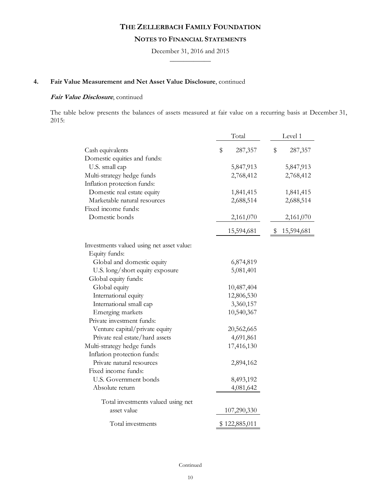# **NOTES TO FINANCIAL STATEMENTS**

December 31, 2016 and 2015  $\frac{1}{2}$ 

# **4. Fair Value Measurement and Net Asset Value Disclosure**, continued

### **Fair Value Disclosure**, continued

The table below presents the balances of assets measured at fair value on a recurring basis at December 31, 2015:

|                                           | Total         | Level 1          |  |
|-------------------------------------------|---------------|------------------|--|
| Cash equivalents                          | \$<br>287,357 | \$<br>287,357    |  |
| Domestic equities and funds:              |               |                  |  |
| U.S. small cap                            | 5,847,913     | 5,847,913        |  |
| Multi-strategy hedge funds                | 2,768,412     | 2,768,412        |  |
| Inflation protection funds:               |               |                  |  |
| Domestic real estate equity               | 1,841,415     | 1,841,415        |  |
| Marketable natural resources              | 2,688,514     | 2,688,514        |  |
| Fixed income funds:                       |               |                  |  |
| Domestic bonds                            | 2,161,070     | 2,161,070        |  |
|                                           | 15,594,681    | 15,594,681<br>S. |  |
| Investments valued using net asset value: |               |                  |  |
| Equity funds:                             |               |                  |  |
| Global and domestic equity                | 6,874,819     |                  |  |
| U.S. long/short equity exposure           | 5,081,401     |                  |  |
| Global equity funds:                      |               |                  |  |
| Global equity                             | 10,487,404    |                  |  |
| International equity                      | 12,806,530    |                  |  |
| International small cap                   | 3,360,157     |                  |  |
| Emerging markets                          | 10,540,367    |                  |  |
| Private investment funds:                 |               |                  |  |
| Venture capital/private equity            | 20,562,665    |                  |  |
| Private real estate/hard assets           | 4,691,861     |                  |  |
| Multi-strategy hedge funds                | 17,416,130    |                  |  |
| Inflation protection funds:               |               |                  |  |
| Private natural resources                 | 2,894,162     |                  |  |
| Fixed income funds:                       |               |                  |  |
| U.S. Government bonds                     | 8,493,192     |                  |  |
| Absolute return                           | 4,081,642     |                  |  |
| Total investments valued using net        |               |                  |  |
| asset value                               | 107,290,330   |                  |  |
| Total investments                         | \$122,885,011 |                  |  |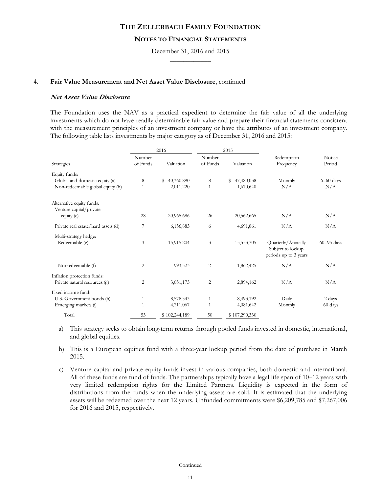#### **NOTES TO FINANCIAL STATEMENTS**

December 31, 2016 and 2015  $\frac{1}{2}$ 

#### **4. Fair Value Measurement and Net Asset Value Disclosure**, continued

#### **Net Asset Value Disclosure**

The Foundation uses the NAV as a practical expedient to determine the fair value of all the underlying investments which do not have readily determinable fair value and prepare their financial statements consistent with the measurement principles of an investment company or have the attributes of an investment company. The following table lists investments by major category as of December 31, 2016 and 2015:

|                                                      | 2016               |                 | 2015               |                 |                                                                  |                  |  |
|------------------------------------------------------|--------------------|-----------------|--------------------|-----------------|------------------------------------------------------------------|------------------|--|
| Strategies                                           | Number<br>of Funds | Valuation       | Number<br>of Funds | Valuation       | Redemption<br>Frequency                                          | Notice<br>Period |  |
| Equity funds:                                        |                    |                 |                    |                 |                                                                  |                  |  |
| Global and domestic equity (a)                       | 8                  | 40,360,890<br>S | 8                  | 47,480,038<br>S | Monthly                                                          | $6 - 60$ days    |  |
| Non-redeemable global equity (b)                     | 1                  | 2,011,220       | 1                  | 1,670,640       | N/A                                                              | N/A              |  |
| Alternative equity funds:<br>Venture capital/private |                    |                 |                    |                 |                                                                  |                  |  |
| equity $(c)$                                         | 28                 | 20,965,686      | 26                 | 20,562,665      | N/A                                                              | N/A              |  |
| Private real estate/hard assets (d)                  | 7                  | 6,156,883       | 6                  | 4,691,861       | N/A                                                              | N/A              |  |
| Multi-strategy hedge:                                |                    |                 |                    |                 |                                                                  |                  |  |
| Redeemable (e)                                       | 3                  | 15,915,204      | 3                  | 15,553,705      | Quarterly/Annually<br>Subject to lockup<br>periods up to 3 years | $60 - 95$ days   |  |
| Nonredeemable (f)                                    | 2                  | 993,523         | 2                  | 1,862,425       | N/A                                                              | N/A              |  |
| Inflation protection funds:                          |                    |                 |                    |                 |                                                                  |                  |  |
| Private natural resources (g)                        | $\overline{2}$     | 3,051,173       | $\overline{c}$     | 2,894,162       | N/A                                                              | N/A              |  |
| Fixed income fund:                                   |                    |                 |                    |                 |                                                                  |                  |  |
| U.S. Government bonds (h)                            | 1                  | 8,578,543       | 1                  | 8,493,192       | Daily                                                            | 2 days           |  |
| Emerging markets (i)                                 |                    | 4,211,067       | 1                  | 4,081,642       | Monthly                                                          | 60 days          |  |
| Total                                                | 53                 | \$102,244,189   | 50                 | \$107,290,330   |                                                                  |                  |  |

a) This strategy seeks to obtain long-term returns through pooled funds invested in domestic, international, and global equities.

b) This is a European equities fund with a three-year lockup period from the date of purchase in March 2015.

c) Venture capital and private equity funds invest in various companies, both domestic and international. All of these funds are fund of funds. The partnerships typically have a legal life span of 10–12 years with very limited redemption rights for the Limited Partners. Liquidity is expected in the form of distributions from the funds when the underlying assets are sold. It is estimated that the underlying assets will be redeemed over the next 12 years. Unfunded commitments were \$6,209,785 and \$7,267,006 for 2016 and 2015, respectively.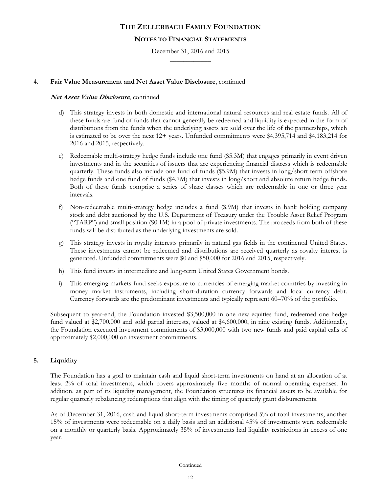## **NOTES TO FINANCIAL STATEMENTS**

December 31, 2016 and 2015  $\frac{1}{2}$ 

### **4. Fair Value Measurement and Net Asset Value Disclosure**, continued

#### **Net Asset Value Disclosure**, continued

- d) This strategy invests in both domestic and international natural resources and real estate funds. All of these funds are fund of funds that cannot generally be redeemed and liquidity is expected in the form of distributions from the funds when the underlying assets are sold over the life of the partnerships, which is estimated to be over the next 12+ years. Unfunded commitments were \$4,395,714 and \$4,183,214 for 2016 and 2015, respectively.
- e) Redeemable multi-strategy hedge funds include one fund (\$5.3M) that engages primarily in event driven investments and in the securities of issuers that are experiencing financial distress which is redeemable quarterly. These funds also include one fund of funds (\$5.9M) that invests in long/short term offshore hedge funds and one fund of funds (\$4.7M) that invests in long/short and absolute return hedge funds. Both of these funds comprise a series of share classes which are redeemable in one or three year intervals.
- f) Non-redeemable multi-strategy hedge includes a fund (\$.9M) that invests in bank holding company stock and debt auctioned by the U.S. Department of Treasury under the Trouble Asset Relief Program ("TARP") and small position (\$0.1M) in a pool of private investments. The proceeds from both of these funds will be distributed as the underlying investments are sold.
- g) This strategy invests in royalty interests primarily in natural gas fields in the continental United States. These investments cannot be redeemed and distributions are received quarterly as royalty interest is generated. Unfunded commitments were \$0 and \$50,000 for 2016 and 2015, respectively.
- h) This fund invests in intermediate and long-term United States Government bonds.
- i) This emerging markets fund seeks exposure to currencies of emerging market countries by investing in money market instruments, including short-duration currency forwards and local currency debt. Currency forwards are the predominant investments and typically represent 60–70% of the portfolio.

Subsequent to year-end, the Foundation invested \$3,500,000 in one new equities fund, redeemed one hedge fund valued at \$2,700,000 and sold partial interests, valued at \$4,600,000, in nine existing funds. Additionally, the Foundation executed investment commitments of \$3,000,000 with two new funds and paid capital calls of approximately \$2,000,000 on investment commitments.

## **5. Liquidity**

The Foundation has a goal to maintain cash and liquid short-term investments on hand at an allocation of at least 2% of total investments, which covers approximately five months of normal operating expenses. In addition, as part of its liquidity management, the Foundation structures its financial assets to be available for regular quarterly rebalancing redemptions that align with the timing of quarterly grant disbursements.

As of December 31, 2016, cash and liquid short-term investments comprised 5% of total investments, another 15% of investments were redeemable on a daily basis and an additional 45% of investments were redeemable on a monthly or quarterly basis. Approximately 35% of investments had liquidity restrictions in excess of one year.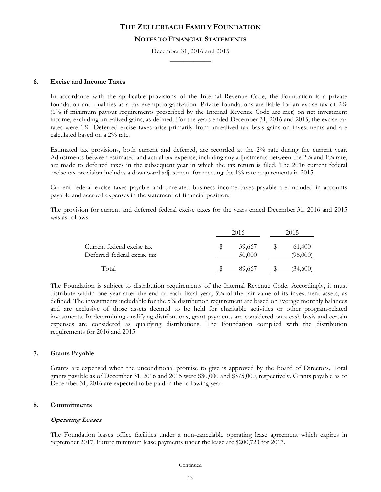#### **NOTES TO FINANCIAL STATEMENTS**

December 31, 2016 and 2015  $\frac{1}{2}$ 

#### **6. Excise and Income Taxes**

In accordance with the applicable provisions of the Internal Revenue Code, the Foundation is a private foundation and qualifies as a tax-exempt organization. Private foundations are liable for an excise tax of 2% (1% if minimum payout requirements prescribed by the Internal Revenue Code are met) on net investment income, excluding unrealized gains, as defined. For the years ended December 31, 2016 and 2015, the excise tax rates were 1%. Deferred excise taxes arise primarily from unrealized tax basis gains on investments and are calculated based on a 2% rate.

Estimated tax provisions, both current and deferred, are recorded at the 2% rate during the current year. Adjustments between estimated and actual tax expense, including any adjustments between the 2% and 1% rate, are made to deferred taxes in the subsequent year in which the tax return is filed. The 2016 current federal excise tax provision includes a downward adjustment for meeting the 1% rate requirements in 2015.

Current federal excise taxes payable and unrelated business income taxes payable are included in accounts payable and accrued expenses in the statement of financial position.

The provision for current and deferred federal excise taxes for the years ended December 31, 2016 and 2015 was as follows:

|                                                           | 2016 |                  | 2015               |  |
|-----------------------------------------------------------|------|------------------|--------------------|--|
| Current federal excise tax<br>Deferred federal excise tax | S    | 39,667<br>50,000 | 61,400<br>(96,000) |  |
| Total                                                     |      | 89,667           | 34,600)            |  |

The Foundation is subject to distribution requirements of the Internal Revenue Code. Accordingly, it must distribute within one year after the end of each fiscal year, 5% of the fair value of its investment assets, as defined. The investments includable for the 5% distribution requirement are based on average monthly balances and are exclusive of those assets deemed to be held for charitable activities or other program-related investments. In determining qualifying distributions, grant payments are considered on a cash basis and certain expenses are considered as qualifying distributions. The Foundation complied with the distribution requirements for 2016 and 2015.

#### **7. Grants Payable**

Grants are expensed when the unconditional promise to give is approved by the Board of Directors. Total grants payable as of December 31, 2016 and 2015 were \$30,000 and \$375,000, respectively. Grants payable as of December 31, 2016 are expected to be paid in the following year.

#### **8. Commitments**

#### **Operating Leases**

The Foundation leases office facilities under a non-cancelable operating lease agreement which expires in September 2017. Future minimum lease payments under the lease are \$200,723 for 2017.